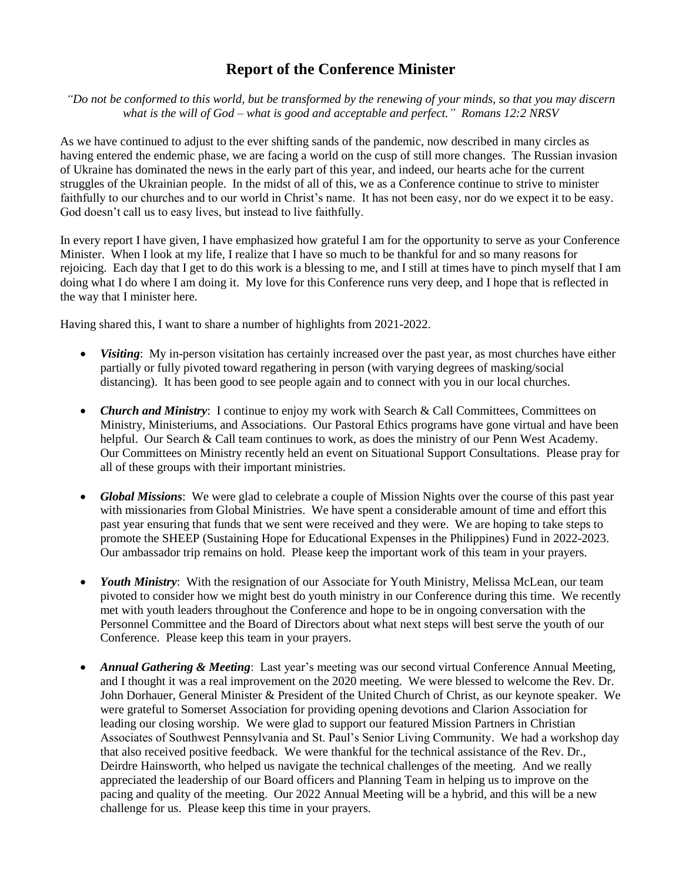## **Report of the Conference Minister**

*"Do not be conformed to this world, but be transformed by the renewing of your minds, so that you may discern what is the will of God – what is good and acceptable and perfect." Romans 12:2 NRSV*

As we have continued to adjust to the ever shifting sands of the pandemic, now described in many circles as having entered the endemic phase, we are facing a world on the cusp of still more changes. The Russian invasion of Ukraine has dominated the news in the early part of this year, and indeed, our hearts ache for the current struggles of the Ukrainian people. In the midst of all of this, we as a Conference continue to strive to minister faithfully to our churches and to our world in Christ's name. It has not been easy, nor do we expect it to be easy. God doesn't call us to easy lives, but instead to live faithfully.

In every report I have given, I have emphasized how grateful I am for the opportunity to serve as your Conference Minister. When I look at my life, I realize that I have so much to be thankful for and so many reasons for rejoicing. Each day that I get to do this work is a blessing to me, and I still at times have to pinch myself that I am doing what I do where I am doing it. My love for this Conference runs very deep, and I hope that is reflected in the way that I minister here.

Having shared this, I want to share a number of highlights from 2021-2022.

- *Visiting*: My in-person visitation has certainly increased over the past year, as most churches have either partially or fully pivoted toward regathering in person (with varying degrees of masking/social distancing). It has been good to see people again and to connect with you in our local churches.
- *Church and Ministry*: I continue to enjoy my work with Search & Call Committees, Committees on Ministry, Ministeriums, and Associations. Our Pastoral Ethics programs have gone virtual and have been helpful. Our Search & Call team continues to work, as does the ministry of our Penn West Academy. Our Committees on Ministry recently held an event on Situational Support Consultations. Please pray for all of these groups with their important ministries.
- *Global Missions*: We were glad to celebrate a couple of Mission Nights over the course of this past year with missionaries from Global Ministries. We have spent a considerable amount of time and effort this past year ensuring that funds that we sent were received and they were. We are hoping to take steps to promote the SHEEP (Sustaining Hope for Educational Expenses in the Philippines) Fund in 2022-2023. Our ambassador trip remains on hold. Please keep the important work of this team in your prayers.
- *Youth Ministry*: With the resignation of our Associate for Youth Ministry, Melissa McLean, our team pivoted to consider how we might best do youth ministry in our Conference during this time. We recently met with youth leaders throughout the Conference and hope to be in ongoing conversation with the Personnel Committee and the Board of Directors about what next steps will best serve the youth of our Conference. Please keep this team in your prayers.
- *Annual Gathering & Meeting*: Last year's meeting was our second virtual Conference Annual Meeting, and I thought it was a real improvement on the 2020 meeting. We were blessed to welcome the Rev. Dr. John Dorhauer, General Minister & President of the United Church of Christ, as our keynote speaker. We were grateful to Somerset Association for providing opening devotions and Clarion Association for leading our closing worship. We were glad to support our featured Mission Partners in Christian Associates of Southwest Pennsylvania and St. Paul's Senior Living Community. We had a workshop day that also received positive feedback. We were thankful for the technical assistance of the Rev. Dr., Deirdre Hainsworth, who helped us navigate the technical challenges of the meeting. And we really appreciated the leadership of our Board officers and Planning Team in helping us to improve on the pacing and quality of the meeting. Our 2022 Annual Meeting will be a hybrid, and this will be a new challenge for us. Please keep this time in your prayers.